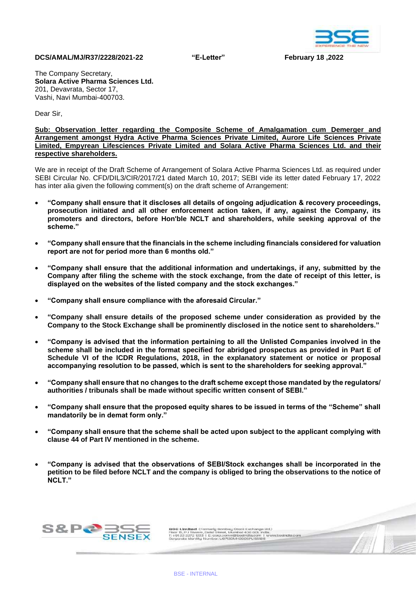

## **DCS/AMAL/MJ/R37/2228/2021-22 "E-Letter" February 18 ,2022**

The Company Secretary, **Solara Active Pharma Sciences Ltd.** 201, Devavrata, Sector 17, Vashi, Navi Mumbai-400703.

Dear Sir,

**Sub: Observation letter regarding the Composite Scheme of Amalgamation cum Demerger and Arrangement amongst Hydra Active Pharma Sciences Private Limited, Aurore Life Sciences Private Limited, Empyrean Lifesciences Private Limited and Solara Active Pharma Sciences Ltd. and their respective shareholders.**

We are in receipt of the Draft Scheme of Arrangement of Solara Active Pharma Sciences Ltd. as required under SEBI Circular No. CFD/DIL3/CIR/2017/21 dated March 10, 2017; SEBI vide its letter dated February 17, 2022 has inter alia given the following comment(s) on the draft scheme of Arrangement:

- **"Company shall ensure that it discloses all details of ongoing adjudication & recovery proceedings, prosecution initiated and all other enforcement action taken, if any, against the Company, its promoters and directors, before Hon'ble NCLT and shareholders, while seeking approval of the scheme."**
- **"Company shall ensure that the financials in the scheme including financials considered for valuation report are not for period more than 6 months old."**
- **"Company shall ensure that the additional information and undertakings, if any, submitted by the Company after filing the scheme with the stock exchange, from the date of receipt of this letter, is displayed on the websites of the listed company and the stock exchanges."**
- **"Company shall ensure compliance with the aforesaid Circular."**
- **"Company shall ensure details of the proposed scheme under consideration as provided by the Company to the Stock Exchange shall be prominently disclosed in the notice sent to shareholders."**
- **"Company is advised that the information pertaining to all the Unlisted Companies involved in the scheme shall be included in the format specified for abridged prospectus as provided in Part E of Schedule VI of the ICDR Regulations, 2018, in the explanatory statement or notice or proposal accompanying resolution to be passed, which is sent to the shareholders for seeking approval."**
- **"Company shall ensure that no changes to the draft scheme except those mandated by the regulators/ authorities / tribunals shall be made without specific written consent of SEBI."**
- **"Company shall ensure that the proposed equity shares to be issued in terms of the "Scheme" shall mandatorily be in demat form only."**
- **"Company shall ensure that the scheme shall be acted upon subject to the applicant complying with clause 44 of Part IV mentioned in the scheme.**
- **"Company is advised that the observations of SEBI/Stock exchanges shall be incorporated in the petition to be filed before NCLT and the company is obliged to bring the observations to the notice of NCLT."**



1996: Limited. (Former), Bombay Stock Exchange Ud.)<br>Floor 15, P.J. Towers, Delai Street, Mundoel 400.001. India.<br>11. HD 12: 23572: 1235. I. E. org.p.ornm@beathClasson. I. www.bearcle.com<br>Corporate Identity Number: UG7120MH